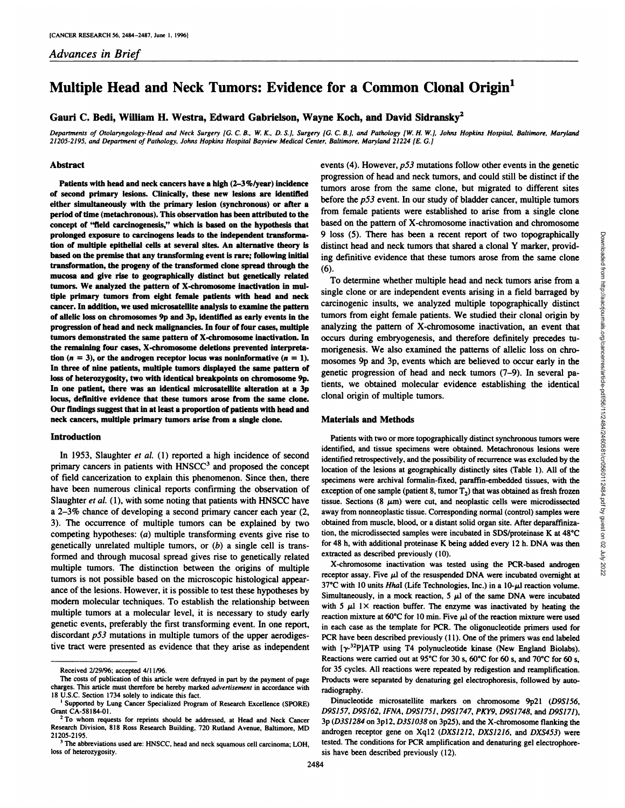*Advances in Brief*

# **Multiple Head and Neck Tumors: Evidence for a Common Clonal Origin1**

Gauri C. Bedi, William H. Westra, Edward Gabrielson, Wayne Koch, and David Sidransky<sup>2</sup>

Departments of Otolaryngology-Head and Neck Surgery [G. C. B., W. K., D. S.], Surgery [G. C. B.], and Pathology [W. H. W.], Johns Hopkins Hospital, Baltimore, Maryland 21205-2195, and Department of Pathology, Johns Hopkins Hospital Bayview Medical Center, Baltimore, Maryland 21224 [E. G.]

#### Abstract

Patients with head and neck cancers have a high  $(2-3\%$ /year) incidence **of second primary lesions Clinically, these new lesions are identified either simultaneously with the primary lesion (synchronous) or after a** period of time (metachronous). This observation has been attributed to the concept of "field carcinogenesis," which is based on the hypothesis that prolonged exposure to carcinogens leads to the independent transforma **lion of multiple epithelial cells at several sites. An alternative theory Is based on the premise that any transforming event Is rare following Initial** transformation, the progeny of the transformed clone spread through the mucosa and give rise to geographically distinct but genetically related tumors. We analyzed the pattern of X-chromosome inactivation in mul **tiple primary tumors from eight female patients with head and neck** cancer. In addition, we used microsatellite analysis to examine the pattern **of allelic loss on chromosomes 9p and 3p, Identified as early events in the** progression of head and neck malignancies. In four of four cases, multiple tumors demonstrated the same pattern of X-chromosome inactivation. In **the remaining four cases, X-chromosome deletions prevented interprets tion**  $(n = 3)$ , or the androgen receptor locus was noninformative  $(n = 1)$ . In three of nine patients, multiple tumors displayed the same pattern of loss of heterozygosity, two with identical breakpoints on chromosome 9p. In one patient, there was an Identical microsatellite alteration at a 3p locus, definitive evidence that these tumors arose from the same done. Our findings suggest that in at least a proportion of patients with head and neck cancers, multiple primary tumors arise from a single clone.

# **Introduction**

**In 1953, Slaughter et a!. (1) reported a high incidence of second** primary cancers in patients with HNSCC<sup>3</sup> and proposed the concept **of field cancerization to explain this phenomenon. Since then, there have been numerous clinical reports confirming the observation of** Slaughter et al. (1), with some noting that patients with HNSCC have **a 2—3%chance of developing a second primary cancer each year (2,** 3). The occurrence of multiple tumors can be explained by two **competing hypotheses: (a) multiple transforming events give rise to** genetically unrelated multiple tumors, or  $(b)$  a single cell is transformed and through mucosal spread gives rise to genetically related multiple tumors. The distinction between the origins of multiple **tumors is not possible based on the microscopic histological appear ance of the lesions. However, it is possible to test these hypotheses by modem molecular techniques. To establish the relationship between multiple tumors at a molecular level, it is necessary to study early** genetic events, preferably the first transforming event. In one report, discordant  $p53$  mutations in multiple tumors of the upper aerodigestive tract were presented as evidence that they arise as independent events (4). However,  $p53$  mutations follow other events in the genetic progression of head and neck tumors, and could still be distinct if the **tumors arose from the same clone, but migrated to different sites before the p53 event. In our study of bladder cancer, multiple tumors from female patients were established to arise from a single clone** based on the pattern of X-chromosome inactivation and chromosome distinct head and neck tumors that shared a clonal Y marker, provid **ing definitive evidence that these tumors arose from the same clone** (6).

9 loss (5). There has been a recent report of two topographically<br>distinct head and neck tumors that shared a clonal Y marker, provid-<br>ing definitive evidence that these tumors arose from the same clone<br>(6).<br>To determine **To determine whether multiple head and neck tumors arise from a** single clone or are independent events arising in a field barraged by carcinogenic insults, we analyzed multiple topographically distinct tumors from eight female patients. We studied their clonal origin by **analyzing the pattern of X-chromosome inactivation, an event that** occurs during embryogenesis, and therefore definitely precedes tu **morigenesis. We also examined the patterns of allelic loss on chro mosomes 9p and 3p, events which are believed to occur early in the genetic progression of head and neck tumors (7—9).In several pa tients, we obtained molecular evidence establishing the identical** clonal origin of multiple tumors.

### Materials and Methods

Patients with two or more topographically distinct synchronous tumors were identified, and tissue specimens were obtained. Metachronous lesions were identified retrospectively, and the possibility of recurrence was excluded by the location of the lesions at geographically distinctly sites (Table 1). All of the specimens were archival formalin-fixed, paraffin-embedded tissues, with the exception of one sample (patient 8, tumor  $T_2$ ) that was obtained as fresh frozen tissue. Sections  $(8 \mu m)$  were cut, and neoplastic cells were microdissected away from nonneoplastic tissue. Corresponding normal (control) samples were obtained from muscle, blood, or a distant solid organ site. After deparaffinization, the microdissected samples were incubated in SDS/proteinase K at 48°C for 48 h, with additional proteinase K being added every 12 h. DNA was then extracted as described previously (10).

**X-chromosome inactivation was tested using the PCR-based androgen** receptor assay. Five  $\mu$ l of the resuspended DNA were incubated overnight at 37°C with 10 units Hhal (Life Technologies, Inc.) in a 10- $\mu$ l reaction volume. Simultaneously, in a mock reaction,  $5 \mu 1$  of the same DNA were incubated with 5  $\mu$ 1 1× reaction buffer. The enzyme was inactivated by heating the reaction mixture at 60°C for 10 min. Five  $\mu$ 1 of the reaction mixture were used **in each case as the template for PCR. The oligonucleotide primers used for** PCR have been described previously (11). One of the primers was end labeled with  $[\gamma^{-32}P]ATP$  using T4 polynucleotide kinase (New England Biolabs). Reactions were carried out at 95°C for 30 s, 60°C for 60 s, and 70°C for 60 s, for 35 cycles. All reactions were repeated by redigestion and reamplification. Products were separated by denaturing gel electrophoresis, followed by auto radiography.

**Dinucleotide microsatellite markers on chromosome 9p2l (D9S156, D9S157, D9S162, IFNA, D9S1751, D9S1747, PKY9, D951748, and D9S171),** 3p (D351284 on 3pl2, D3S1038 on 3p25), and the X-chromosome flanking the androgen receptor gene on Xql2 (DXSJ2J2, DXSJ2J6, and DXS453) were tested. The conditions for PCR amplification and denaturing gel electrophore sis have been described previously (12).

**Received 2/29/96; accepted 4/11/96.**

The costs of publication of this article were defrayed in part by the payment of page charges. This article must therefore be hereby marked advertisement in accordance with 18 U.S.C. Section 1734 solely to indicate this fact.

**I Supported by Lung Cancer Specialized Program of Research Excellence (SPORE)** Grant CA-58l84-Ol.

**<sup>2</sup> To whom requests for reprints should be addressed, at Head and Neck Cancer** Research Division, 818 Ross Research Building, 720 Rutland Avenue, Baltimore, MD **21205-2195.**

**<sup>3</sup> The abbreviations used are: HNSCC, head and neck squamous cell carcinoma; LOH, loss of heterozygosity.**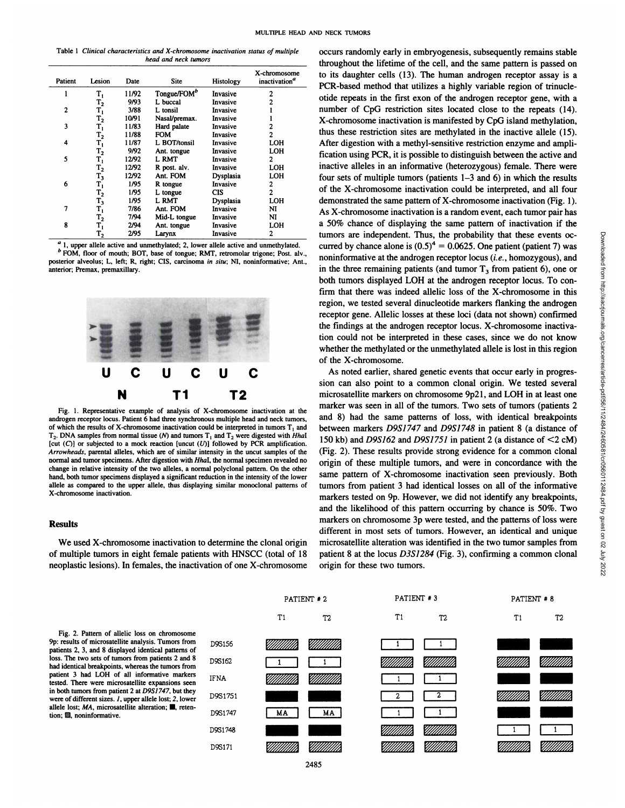|                      | Table 1 Clinical characteristics and X-chromosome inactivation status of multiple |  |  |  |  |  |  |
|----------------------|-----------------------------------------------------------------------------------|--|--|--|--|--|--|
| head and neck tumors |                                                                                   |  |  |  |  |  |  |

| Patient | Lesion           | Date  | Site                    | <b>Histology</b> | X-chromosome<br>inactivation <sup>a</sup> |
|---------|------------------|-------|-------------------------|------------------|-------------------------------------------|
|         | т,               | 11/92 | Tongue/FOM <sup>b</sup> | Invasive         | 2                                         |
|         | $\mathbf{T_2}$   | 9/93  | L buccal                | Invasive         | 2                                         |
| 2       | т,               | 3/88  | L tonsil                | Invasive         |                                           |
|         | $\mathrm{T}_2$   | 10/91 | Nasal/premax.           | Invasive         |                                           |
| 3       | т,               | 11/83 | Hard palate             | Invasive         | 2                                         |
|         | $T_{2}$          | 11/88 | <b>FOM</b>              | Invasive         | $\mathbf{2}$                              |
| 4       | т,               | 11/87 | L BOT/tonsil            | Invasive         | LOH                                       |
|         | $\mathtt{T_2}$   | 9/92  | Ant. tongue             | Invasive         | LOH                                       |
| 5       | т,               | 12/92 | L RMT                   | Invasive         | $\mathbf{2}$                              |
|         | $\mathrm{T}_2$   | 12/92 | R post. alv.            | Invasive         | LOH                                       |
|         | $T_3$            | 12/92 | Ant. FOM                | <b>Dysplasia</b> | LOH                                       |
| 6       | т,               | 1/95  | R tongue                | Invasive         | 2                                         |
|         | $\mathbf{T_2}$   | 1/95  | L tongue                | CIS              | $\overline{c}$                            |
|         | $T_3$            | 1/95  | L RMT                   | Dysplasia        | LOH                                       |
| 7       | т,               | 7/86  | Ant. FOM                | Invasive         | NI                                        |
|         | $T_{2}$          | 7/94  | Mid-L tongue            | Invasive         | NI                                        |
| 8       | т,               | 2/94  | Ant. tongue             | Invasive         | LOH                                       |
|         | $\mathbf{T_{2}}$ | 2/95  | Larynx                  | Invasive         | 2                                         |

*a 1 upper allele active andunmethylated; 2, lower allele active and unmethylated.* **b FOM, floor of mouth; BOT, base of tongue; RMT, retromolar trigone; Post. sly., posterior alveolus; L, left; R, right; CIS, carcinoma in situ; NI, noninformative; Ant., anterior; Premax, premaxillary.**



Fig. 1. Representative example of analysis of X-chromosome inactivation at the androgen receptor locus. Patient 6 had three synchronous multiple head and neck tumors, of which the results of X-chromosome inactivation could be interpreted in tumors  $T_1$  and  $T_2$ . DNA samples from normal tissue (N) and tumors  $T_1$  and  $T_2$  were digested with Hhal **[cut (C)] or subjected to a mock reaction [uncut (U)] followed by PCR amplification.** *Arrowheads, parental alleles, which are of similar intensity in the uncut samples of the* normal and tumor specimens. After digestion with Hhal, the normal specimen revealed no  $c$  **change** in relative intensity of the two alleles, a normal polyclonal pattern. On the other hand, both tumor specimens displayed a significant reduction in the intensity of the lower allele as compared to the upper allele, thus displaying similar monoclonal patterns of X-chromosome inactivation.

## Results

**We used X-chromosome inactivation to determine the clonal origin** of multiple tumors in eight female patients with HNSCC (total of 18 neoplastic lesions). In females, the inactivation of one X-chromosome

*occurs randomly early in embryogenesis, subsequently remains stable* throughout the lifetime of the cell, and the same pattern is passed on to its daughter cells (13). The human androgen receptor assay is a **PCR-based method that utilizes a highly variable region of trinucle** otide repeats in the first exon of the androgen receptor gene, with a number of CpG restriction sites located close to the repeats (14). X-chromosome inactivation is manifested by CpG island methylation, thus these restriction sites are methylated in the inactive allele (15). After digestion with a methyl-sensitive restriction enzyme and ampli fication using PCR, it is possible to distinguish between the active and inactive alleles in an informative (heterozygous) female. There were  $LOH$  four sets of multiple tumors (patients  $1-3$  and 6) in which the results of the X-ckromosome inactivation could be interpreted, and all four demonstrated the same pattern of X-chromosome inactivation (Fig. 1). As X-chromosome inactivation is a random event, each tumor pair has a 50% chance of displaying the same pattern of inactivation if the curred by chance alone is  $(0.5)^4 = 0.0625$ . One patient (patient 7) was noninformative at the androgen receptor locus (i.e. , homozygous), and in the three remaining patients (and tumor  $T<sub>3</sub>$  from patient 6), one or both tumors displayed LOH at the androgen receptor locus. To con firm that there was indeed allelic loss of the X-chromosome in this region, we tested several dinucleotide markers flanking the androgen receptor gene. Allelic losses at these loci (data not shown) confirmed the findings at the androgen receptor locus. X-chromosome inactiva tion could not be interpreted in these cases, since we do not know whether the methylated or the unmethylated allele is lost in this region of the X-chromosome.

tumors are independent. Thus, the probability that these events oc-<br>
curved by chance alone is (0.5)<sup>4</sup> = 0.0625. One patient (patient 7) was<br>
noninformative at the androgen receptor locus (*i.e.*, homozygous), and<br>
in th As noted earlier, shared genetic events that occur early in progres sion can also point to a common clonal origin. We tested several microsatellite markers on chromosome 9p2l, and LOH in at least one marker was seen in all of the tumors. Two sets of tumors (patients 2 and 8) had the same patterns of loss, with identical breakpoints between markers D9S1747 and D9S1748 in patient 8 (a distance of 150 kb) and D9S162 and D9S1751 in patient 2 (a distance of  $\leq$ 2 cM) (Fig. 2). These results provide strong evidence for a common clonal origin of these multiple tumors, and were in concordance with the same pattern of X-chromosome inactivation seen previously. Both tumors from patient 3 had identical losses on all of the informative markers tested on 9p. However, we did not identify any breakpoints, and the likelihood of this pattern occurring by chance is 50%. Two markers on chromosome 3p were tested, and the patterns of loss were different in most sets of tumors. However, an identical and unique microsatellite alteration was identified in the two tumor samples from patient 8 at the locus D3S1284 (Fig. 3), confirming a common clonal origin for these two tumors.

Fig. 2. Pattern of allelic loss on chromosome patients 2, 3, and 8 displayed identical patterns of loss. The two sets of tumors from patients 2 and 8 had identical breakpoints, whereas the tumors from **patient 3 had LOH of all informative markers** tested. There were microsatellite expansions seen **in both tumors from patient 2 at D9S1747, but they** were of different sizes. *1*, upper allele lost; 2, lower allele lost;  $MA$ , microsatellite alteration;  $\blacksquare$ , reten**tion; @,noninformative.**

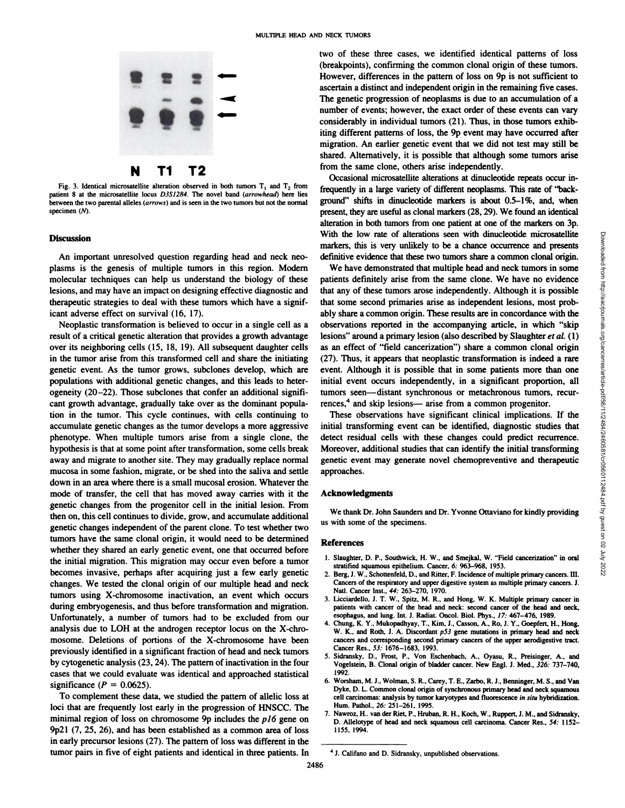

Fig. 3. Identical microsatellite alteration observed in both tumors  $T_1$  and  $T_2$  from patient 8 at the microsatellite locus D3S1284. The novel band (arrowhead) here lies between the two parental alleles (arrows) and is seen in the two tumors but not the normal specimen (N).

#### **Discussion**

An important unresolved question regarding head and neck neo plasms is the genesis of multiple tumors in this region. Modern molecular techniques can help us understand the biology of these lesions, and may have an impact on designing effective diagnostic and therapeutic strategies to deal with these tumors which have a signif icant adverse effect on survival (16, 17).

Neoplastic transformation is believed to occur in a single cell as a result of a critical genetic alteration that provides a growth advantage over its neighboring cells (15, 18, 19). All subsequent daughter cells in the tumor arise from this transformed cell and share the initiating genetic event. As the tumor grows, subclones develop, which are populations with additional genetic changes, and this leads to heter ogeneity (20–22). Those subclones that confer an additional significant growth advantage, gradually take over as the dominant popula tion in the tumor. This cycle continues, with cells continuing to accumulate genetic changes as the tumor develops a more aggressive phenotype. When multiple tumors arise from a single clone, the hypothesis is that at some point after transformation, some cells break away and migrate to another site. They may gradually replace normal mucosa in some fashion, migrate, or be shed into the saliva and settle down in an area where there is a small mucosal erosion. Whatever the mode of transfer, the cell that has moved away carries with it the genetic changes from the progenitor cell in the initial lesion. From then on, this cell continues to divide, grow, and accumulate additional genetic changes independent of the parent clone. To test whether two tumors have the same clonal origin, it would need to be determined whether they shared an early genetic event, one that occurred before the initial migration. This migration may occur even before a tumor becomes invasive, perhaps after acquiring just a few early genetic changes. We tested the clonal origin of our multiple head and neck tumors using X-chromosome inactivation, an event which occurs during embryogenesis, and thus before transformation and migration. Unfortunately, a number of tumors had to be excluded from our analysis due to LOH at the androgen receptor locus on the X-chro mosome. Deletions of portions of the X-chromosome have been previously identified in a significant fraction of head and neck tumors by cytogenetic analysis (23, 24). The pattern of inactivation in the four cases that we could evaluate was identical and approached statistical significance ( $P = 0.0625$ ). Discussion in the general in the pair of eight pair in the spin of the sign of eight patients are the eight patients and interesting to the spin of eight patients and interesting to the spin of eight patients are not as t

**To complement these data, we studied the pattern of allelic loss at** loci that are frequently lost early in the progression of HNSCC. The minimal region of loss on chromosome 9p includes the  $p/6$  gene on 9p2l (7, 25, 26), and has been established as a common area of loss in early precursor lesions (27). The pattern of loss was different in the two of these three cases, we identified identical patterns of loss (breakpoints), confirming the common clonal origin of these tumors. However, differences in the pattern of loss on 9p is not sufficient to ascertain a distinct and independent origin in the remaining five cases. **The genetic progression of neoplasms is due to an accumulation of a** number of events; however, the exact order of these events can vary considerably in individual tumors (21). Thus, in those tumors exhib iting different patterns of loss, the 9p event may have occurred after migration. An earlier genetic event that we did not test may still be shared. Alternatively, it is possible that although some tumors arise from the same clone, others arise independently.

Occasional microsatellite alterations at dinucleotide repeats occur in frequently in a large variety of different neoplasms. This rate of "background" shifts in dinucleotide markers is about  $0.5-1\%$ , and, when present, they are useful as clonal markers (28, 29). We found an identical alteration in both tumors from one patient at one of the markers on 3p. markers, this is very unlikely to be a chance occurrence and presents definitive evidence that these two tumors share a common clonal origin.

With the low rate of alterations seen with dinucleotide microsatellite<br>markers, this is very unlikely to be a chance occurrence and research and responsible definitive evidence that measure of a common share a common cona **We have demonstrated that multiple head and neck tumors in some** patients definitely arise from the same clone. We have no evidence that any of these tumors arose independently. Although it is possible that some second primaries arise as independent lesions, most prob ably share a common origin. These results are in concordance with the observations reported in the accompanying article, in which "skip lesions" around a primary lesion (also described by Slaughter et al. (1) as an effect of "field cancerization") share a common clonal origin (27). Thus, it appears that neoplastic transformation is indeed a rare event. Although it is possible that in some patients more than one initial event occurs independently, in a significant proportion, all tumors seen—distant synchronous or metachronous tumors, recur rences,<sup>4</sup> and skip lesions— arise from a common progenitor.

These observations have significant clinical implications. If the initial transforming event can be identified, diagnostic studies that detect residual cells with these changes could predict recurrence. Moreover, additional studies that can identify the initial transforming genetic event may generate novel chemopreventive and therapeutic approaches.

## **Acknowledgments**

We thank Dr. John Saunders and Dr. Yvonne Ottaviano for kindly providing us with some of the specimens.

#### References

- 1. Slaughter, D. P., Southwick, H. W., and Smejkal, W. "Field cancerization" in oral stratified squamous epithelium. Cancer, 6: 963—968, 1953.
- 2. Berg, J. W., Schottenfeld, D., and Ritter, F. Incidence of multiple primary cancers. III. Cancers of the respiratory and upper digestive system as multiple primary cancers. J. Natl. Cancer Inst., 44: 263-270, 1970.
- 3. Licciardello, J. T. W., Spitz, M. R., and Hong, W. K. Multiple primary cancer in patients with cancer of the head and neck: second cancer of the head and neck, esophagus, and lung. Int. J. Radiat. Oncol. Biol. Phys., 17: 467-476, 1989.
- **4. Chung, K. Y., Mukopadhyay, T., Kim, J., Casson, A., Ro, J. Y., Goepfezt, H., Hong,** W. K., and Roth, J. A. Discordant  $p53$  gene mutations in primary head and neck cancers and corresponding second primary cancers of the upper aerodigestive tract. Cancer Res., 53: 1676—1683, 1993.
- *5. Sidransky, D., Frost, P., Von Esehenbach, A., Oyasu, R., Preisinger, A., and* Vogelstein, B. Clonal origin of bladder cancer. New Engl. J. Med., 326: 737-740, 1992.
- 6. Worsham, M.J., Wolman, S. R., Carey, T. E., Zarbo, R.J., Benninger, M. S., and Van Dyke, D. L. Common clonal origin of synchronous primary head and neck squamous cell carcinomas: analysis by tumor karyotypes and fluorescence in situ hybridization. Hum. Pathol., 26: 251-261, 1995.
- 7. Nawroz, H.. van der Riet, P., Hruban, R. H., Koch, W., Ruppert, J. M., and Sidransky, D. Allelotype of head and neck squamous cell carcinoma. Cancer Res., 54: 1152- 1155, 1994.

**<sup>4</sup> J. Califano and D. Sidransky, unpublished observations.**